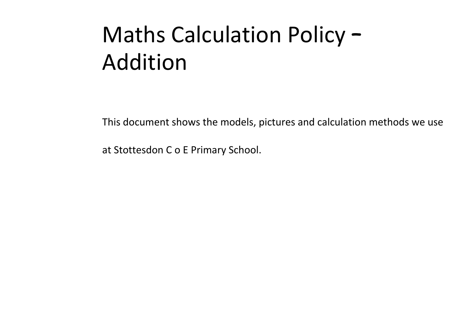## Maths Calculation Policy – Addition

This document shows the models, pictures and calculation methods we use

at Stottesdon C o E Primary School.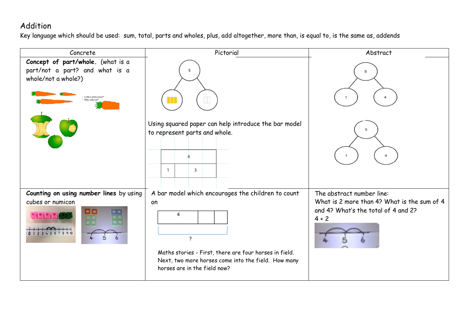## Addition

Key language which should be used: sum, total, parts and wholes, plus, add altogether, more than, is equal to, is the same as, addends

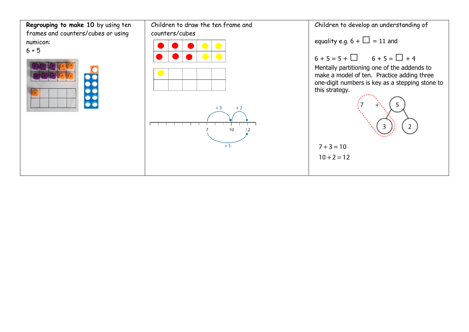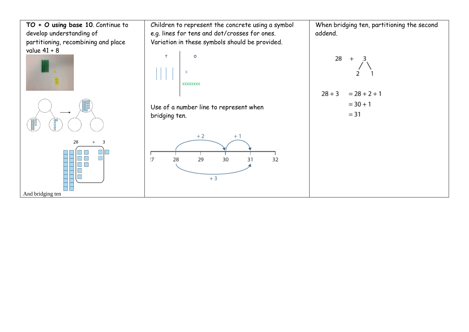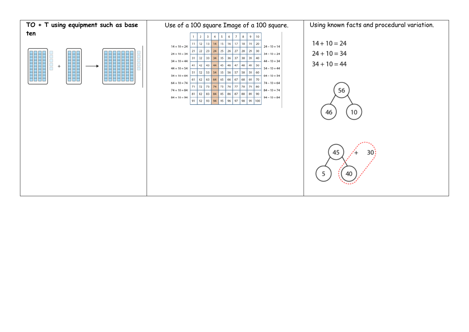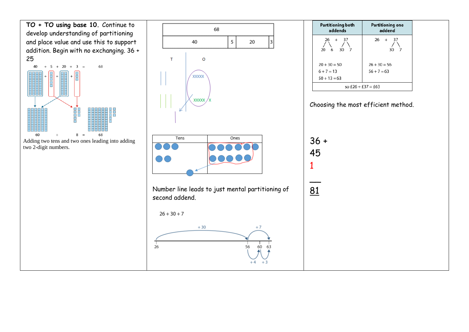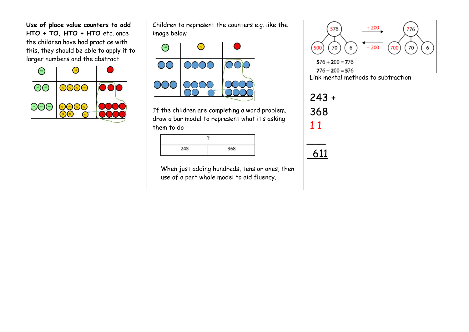